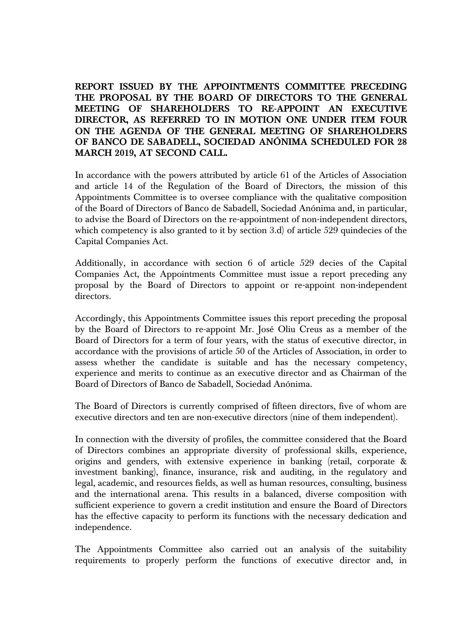**REPORT ISSUED BY THE APPOINTMENTS COMMITTEE PRECEDING THE PROPOSAL BY THE BOARD OF DIRECTORS TO THE GENERAL MEETING OF SHAREHOLDERS TO RE-APPOINT AN EXECUTIVE DIRECTOR, AS REFERRED TO IN MOTION ONE UNDER ITEM FOUR ON THE AGENDA OF THE GENERAL MEETING OF SHAREHOLDERS OF BANCO DE SABADELL, SOCIEDAD ANÓNIMA SCHEDULED FOR 28 MARCH 2019, AT SECOND CALL.**

In accordance with the powers attributed by article 61 of the Articles of Association and article 14 of the Regulation of the Board of Directors, the mission of this Appointments Committee is to oversee compliance with the qualitative composition of the Board of Directors of Banco de Sabadell, Sociedad Anónima and, in particular, to advise the Board of Directors on the re-appointment of non-independent directors, which competency is also granted to it by section 3.d) of article 529 quindecies of the Capital Companies Act.

Additionally, in accordance with section 6 of article 529 decies of the Capital Companies Act, the Appointments Committee must issue a report preceding any proposal by the Board of Directors to appoint or re-appoint non-independent directors.

Accordingly, this Appointments Committee issues this report preceding the proposal by the Board of Directors to re-appoint Mr. José Oliu Creus as a member of the Board of Directors for a term of four years, with the status of executive director, in accordance with the provisions of article 50 of the Articles of Association, in order to assess whether the candidate is suitable and has the necessary competency, experience and merits to continue as an executive director and as Chairman of the Board of Directors of Banco de Sabadell, Sociedad Anónima.

The Board of Directors is currently comprised of fifteen directors, five of whom are executive directors and ten are non-executive directors (nine of them independent).

In connection with the diversity of profiles, the committee considered that the Board of Directors combines an appropriate diversity of professional skills, experience, origins and genders, with extensive experience in banking (retail, corporate & investment banking), finance, insurance, risk and auditing, in the regulatory and legal, academic, and resources fields, as well as human resources, consulting, business and the international arena. This results in a balanced, diverse composition with sufficient experience to govern a credit institution and ensure the Board of Directors has the effective capacity to perform its functions with the necessary dedication and independence.

The Appointments Committee also carried out an analysis of the suitability requirements to properly perform the functions of executive director and, in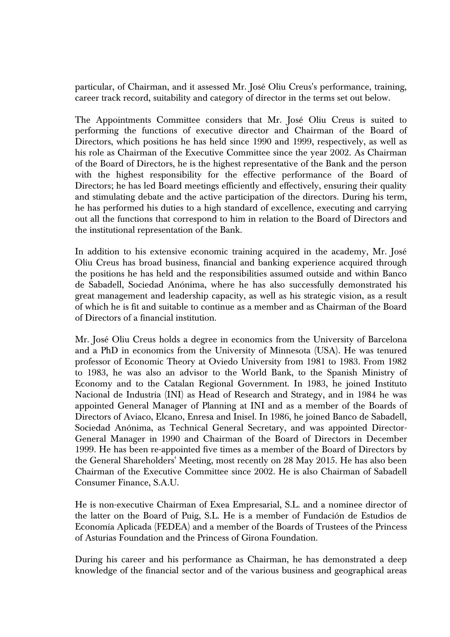particular, of Chairman, and it assessed Mr. José Oliu Creus's performance, training, career track record, suitability and category of director in the terms set out below.

The Appointments Committee considers that Mr. José Oliu Creus is suited to performing the functions of executive director and Chairman of the Board of Directors, which positions he has held since 1990 and 1999, respectively, as well as his role as Chairman of the Executive Committee since the year 2002. As Chairman of the Board of Directors, he is the highest representative of the Bank and the person with the highest responsibility for the effective performance of the Board of Directors; he has led Board meetings efficiently and effectively, ensuring their quality and stimulating debate and the active participation of the directors. During his term, he has performed his duties to a high standard of excellence, executing and carrying out all the functions that correspond to him in relation to the Board of Directors and the institutional representation of the Bank.

In addition to his extensive economic training acquired in the academy, Mr. José Oliu Creus has broad business, financial and banking experience acquired through the positions he has held and the responsibilities assumed outside and within Banco de Sabadell, Sociedad Anónima, where he has also successfully demonstrated his great management and leadership capacity, as well as his strategic vision, as a result of which he is fit and suitable to continue as a member and as Chairman of the Board of Directors of a financial institution.

Mr. José Oliu Creus holds a degree in economics from the University of Barcelona and a PhD in economics from the University of Minnesota (USA). He was tenured professor of Economic Theory at Oviedo University from 1981 to 1983. From 1982 to 1983, he was also an advisor to the World Bank, to the Spanish Ministry of Economy and to the Catalan Regional Government. In 1983, he joined Instituto Nacional de Industria (INI) as Head of Research and Strategy, and in 1984 he was appointed General Manager of Planning at INI and as a member of the Boards of Directors of Aviaco, Elcano, Enresa and Inisel. In 1986, he joined Banco de Sabadell, Sociedad Anónima, as Technical General Secretary, and was appointed Director-General Manager in 1990 and Chairman of the Board of Directors in December 1999. He has been re-appointed five times as a member of the Board of Directors by the General Shareholders' Meeting, most recently on 28 May 2015. He has also been Chairman of the Executive Committee since 2002. He is also Chairman of Sabadell Consumer Finance, S.A.U.

He is non-executive Chairman of Exea Empresarial, S.L. and a nominee director of the latter on the Board of Puig, S.L. He is a member of Fundación de Estudios de Economía Aplicada (FEDEA) and a member of the Boards of Trustees of the Princess of Asturias Foundation and the Princess of Girona Foundation.

During his career and his performance as Chairman, he has demonstrated a deep knowledge of the financial sector and of the various business and geographical areas